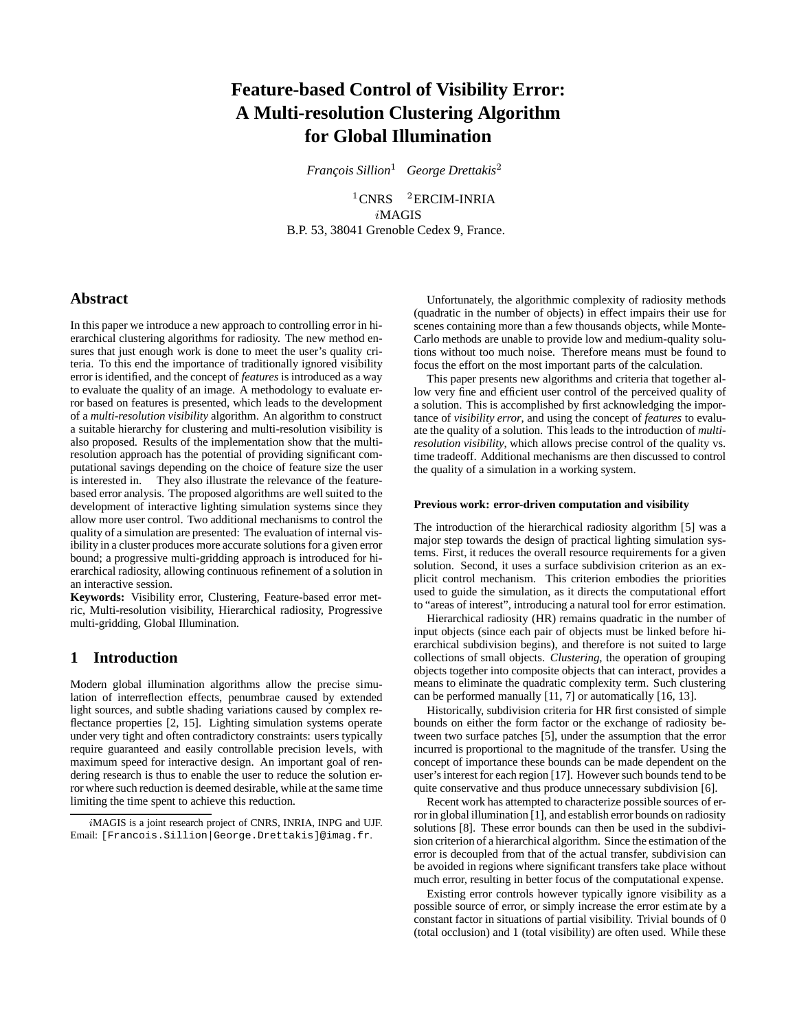# **Feature-based Control of Visibility Error: A Multi-resolution Clustering Algorithm for Global Illumination**

*Fran¸cois Sillion*<sup>1</sup> *George Drettakis*<sup>2</sup>

 $1$ CNRS  $2$ ERCIM-INRIA iMAGIS B.P. 53, 38041 Grenoble Cedex 9, France.

## **Abstract**

In this paper we introduce a new approach to controlling error in hierarchical clustering algorithms for radiosity. The new method ensures that just enough work is done to meet the user's quality criteria. To this end the importance of traditionally ignored visibility error is identified, and the concept of *features* is introduced as a way to evaluate the quality of an image. A methodology to evaluate error based on features is presented, which leads to the development of a *multi-resolution visibility* algorithm. An algorithm to construct a suitable hierarchy for clustering and multi-resolution visibility is also proposed. Results of the implementation show that the multiresolution approach has the potential of providing significant computational savings depending on the choice of feature size the user is interested in. They also illustrate the relevance of the featurebased error analysis. The proposed algorithms are well suited to the development of interactive lighting simulation systems since they allow more user control. Two additional mechanisms to control the quality of a simulation are presented: The evaluation of internal visibility in a cluster produces more accurate solutions for a given error bound; a progressive multi-gridding approach is introduced for hierarchical radiosity, allowing continuous refinement of a solution in an interactive session.

**Keywords:** Visibility error, Clustering, Feature-based error metric, Multi-resolution visibility, Hierarchical radiosity, Progressive multi-gridding, Global Illumination.

## **1 Introduction**

Modern global illumination algorithms allow the precise simulation of interreflection effects, penumbrae caused by extended light sources, and subtle shading variations caused by complex reflectance properties [2, 15]. Lighting simulation systems operate under very tight and often contradictory constraints: users typically require guaranteed and easily controllable precision levels, with maximum speed for interactive design. An important goal of rendering research is thus to enable the user to reduce the solution error where such reduction is deemed desirable, while at the same time limiting the time spent to achieve this reduction.

Unfortunately, the algorithmic complexity of radiosity methods (quadratic in the number of objects) in effect impairs their use for scenes containing more than a few thousands objects, while Monte-Carlo methods are unable to provide low and medium-quality solutions without too much noise. Therefore means must be found to focus the effort on the most important parts of the calculation.

This paper presents new algorithms and criteria that together allow very fine and efficient user control of the perceived quality of a solution. This is accomplished by first acknowledging the importance of *visibility error*, and using the concept of *features* to evaluate the quality of a solution. This leads to the introduction of *multiresolution visibility*, which allows precise control of the quality vs. time tradeoff. Additional mechanisms are then discussed to control the quality of a simulation in a working system.

#### **Previous work: error-driven computation and visibility**

The introduction of the hierarchical radiosity algorithm [5] was a major step towards the design of practical lighting simulation systems. First, it reduces the overall resource requirements for a given solution. Second, it uses a surface subdivision criterion as an explicit control mechanism. This criterion embodies the priorities used to guide the simulation, as it directs the computational effort to "areas of interest", introducing a natural tool for error estimation.

Hierarchical radiosity (HR) remains quadratic in the number of input objects (since each pair of objects must be linked before hierarchical subdivision begins), and therefore is not suited to large collections of small objects. *Clustering*, the operation of grouping objects together into composite objects that can interact, provides a means to eliminate the quadratic complexity term. Such clustering can be performed manually [11, 7] or automatically [16, 13].

Historically, subdivision criteria for HR first consisted of simple bounds on either the form factor or the exchange of radiosity between two surface patches [5], under the assumption that the error incurred is proportional to the magnitude of the transfer. Using the concept of importance these bounds can be made dependent on the user's interest for each region [17]. However such bounds tend to be quite conservative and thus produce unnecessary subdivision [6].

Recent work has attempted to characterize possible sources of error in global illumination [1], and establish error bounds on radiosity solutions [8]. These error bounds can then be used in the subdivision criterion of a hierarchical algorithm. Since the estimation of the error is decoupled from that of the actual transfer, subdivision can be avoided in regions where significant transfers take place without much error, resulting in better focus of the computational expense.

Existing error controls however typically ignore visibility as a possible source of error, or simply increase the error estimate by a constant factor in situations of partial visibility. Trivial bounds of 0 (total occlusion) and 1 (total visibility) are often used. While these

iMAGIS is a joint research project of CNRS, INRIA, INPG and UJF. Email: [Francois.Sillion|George.Drettakis]@imag.fr.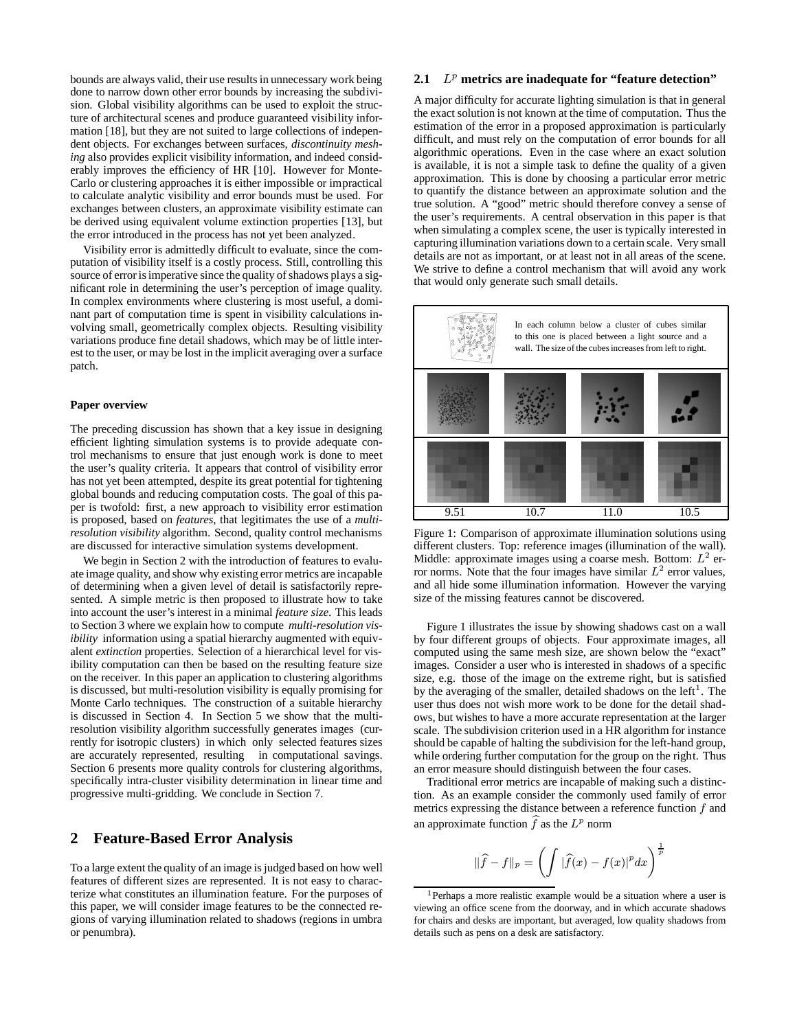bounds are always valid, their use results in unnecessary work being done to narrow down other error bounds by increasing the subdivision. Global visibility algorithms can be used to exploit the structure of architectural scenes and produce guaranteed visibility information [18], but they are not suited to large collections of independent objects. For exchanges between surfaces, *discontinuity meshing* also provides explicit visibility information, and indeed considerably improves the efficiency of HR [10]. However for Monte-Carlo or clustering approaches it is either impossible or impractical to calculate analytic visibility and error bounds must be used. For exchanges between clusters, an approximate visibility estimate can be derived using equivalent volume extinction properties [13], but the error introduced in the process has not yet been analyzed.

Visibility error is admittedly difficult to evaluate, since the computation of visibility itself is a costly process. Still, controlling this source of error is imperative since the quality of shadows plays a significant role in determining the user's perception of image quality. In complex environments where clustering is most useful, a dominant part of computation time is spent in visibility calculations involving small, geometrically complex objects. Resulting visibility variations produce fine detail shadows, which may be of little interest to the user, or may be lost in the implicit averaging over a surface patch.

#### **Paper overview**

The preceding discussion has shown that a key issue in designing efficient lighting simulation systems is to provide adequate control mechanisms to ensure that just enough work is done to meet the user's quality criteria. It appears that control of visibility error has not yet been attempted, despite its great potential for tightening global bounds and reducing computation costs. The goal of this paper is twofold: first, a new approach to visibility error estimation is proposed, based on *features*, that legitimates the use of a *multiresolution visibility* algorithm. Second, quality control mechanisms are discussed for interactive simulation systems development.

We begin in Section 2 with the introduction of features to evaluate image quality, and show why existing error metrics are incapable of determining when a given level of detail is satisfactorily represented. A simple metric is then proposed to illustrate how to take into account the user's interest in a minimal *feature size*. This leads to Section 3 where we explain how to compute *multi-resolution visibility* information using a spatial hierarchy augmented with equivalent *extinction* properties. Selection of a hierarchical level for visibility computation can then be based on the resulting feature size on the receiver. In this paper an application to clustering algorithms is discussed, but multi-resolution visibility is equally promising for Monte Carlo techniques. The construction of a suitable hierarchy is discussed in Section 4. In Section 5 we show that the multiresolution visibility algorithm successfully generates images (currently for isotropic clusters) in which only selected features sizes are accurately represented, resulting in computational savings. Section 6 presents more quality controls for clustering algorithms, specifically intra-cluster visibility determination in linear time and progressive multi-gridding. We conclude in Section 7.

## **2 Feature-Based Error Analysis**

To a large extent the quality of an image is judged based on how well features of different sizes are represented. It is not easy to characterize what constitutes an illumination feature. For the purposes of this paper, we will consider image features to be the connected regions of varying illumination related to shadows (regions in umbra or penumbra).

## **2.1** L <sup>p</sup> **metrics are inadequate for "feature detection"**

A major difficulty for accurate lighting simulation is that in general the exact solution is not known at the time of computation. Thus the estimation of the error in a proposed approximation is particularly difficult, and must rely on the computation of error bounds for all algorithmic operations. Even in the case where an exact solution is available, it is not a simple task to define the quality of a given approximation. This is done by choosing a particular error metric to quantify the distance between an approximate solution and the true solution. A "good" metric should therefore convey a sense of the user's requirements. A central observation in this paper is that when simulating a complex scene, the user is typically interested in capturing illumination variations down to a certain scale. Very small details are not as important, or at least not in all areas of the scene. We strive to define a control mechanism that will avoid any work that would only generate such small details.



Figure 1: Comparison of approximate illumination solutions using different clusters. Top: reference images (illumination of the wall). Middle: approximate images using a coarse mesh. Bottom:  $L^2$  erfror norms. Note that the four images have similar  $L^2$  error values, and all hide some illumination information. However the varying size of the missing features cannot be discovered.

Figure 1 illustrates the issue by showing shadows cast on a wall by four different groups of objects. Four approximate images, all computed using the same mesh size, are shown below the "exact" images. Consider a user who is interested in shadows of a specific size, e.g. those of the image on the extreme right, but is satisfied by the averaging of the smaller, detailed shadows on the left $<sup>1</sup>$ . The</sup> user thus does not wish more work to be done for the detail shadows, but wishes to have a more accurate representation at the larger scale. The subdivision criterion used in a HR algorithm for instance should be capable of halting the subdivision for the left-hand group, while ordering further computation for the group on the right. Thus an error measure should distinguish between the four cases.

Traditional error metrics are incapable of making such a distinction. As an example consider the commonly used family of error metrics expressing the distance between a reference function  $f$  and an approximate function  $\hat{f}$  as the  $L^p$  norm

$$
\|\widehat{f} - f\|_{p} = \left(\int |\widehat{f}(x) - f(x)|^{p} dx\right)^{\frac{1}{p}}
$$

<sup>1</sup>Perhaps a more realistic example would be a situation where a user is viewing an office scene from the doorway, and in which accurate shadows for chairs and desks are important, but averaged, low quality shadows from details such as pens on a desk are satisfactory.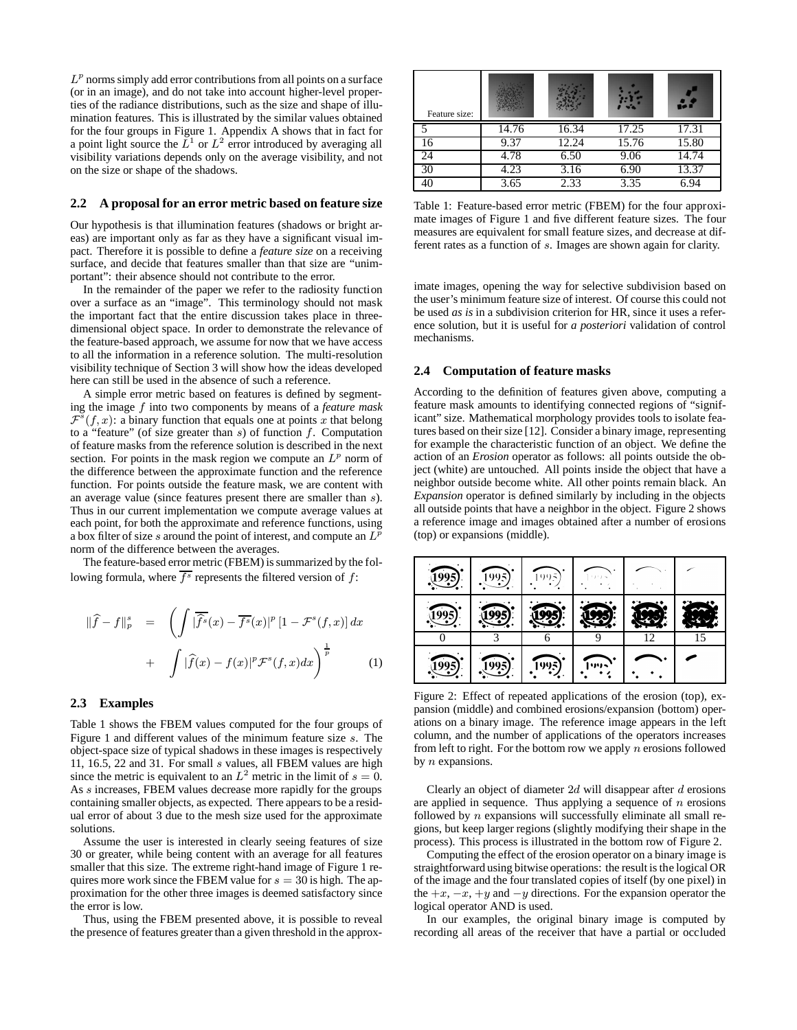$L^p$  norms simply add error contributions from all points on a surface (or in an image), and do not take into account higher-level properties of the radiance distributions, such as the size and shape of illumination features. This is illustrated by the similar values obtained for the four groups in Figure 1. Appendix A shows that in fact for a point light source the  $\tilde{L}^1$  or  $L^2$  error introduced by averaging all visibility variations depends only on the average visibility, and not on the size or shape of the shadows.

#### **2.2 A proposal for an error metric based on feature size**

Our hypothesis is that illumination features (shadows or bright areas) are important only as far as they have a significant visual impact. Therefore it is possible to define a *feature size* on a receiving surface, and decide that features smaller than that size are "unimportant": their absence should not contribute to the error.

In the remainder of the paper we refer to the radiosity function over a surface as an "image". This terminology should not mask the important fact that the entire discussion takes place in threedimensional object space. In order to demonstrate the relevance of the feature-based approach, we assume for now that we have access to all the information in a reference solution. The multi-resolution visibility technique of Section 3 will show how the ideas developed here can still be used in the absence of such a reference.

A simple error metric based on features is defined by segmenting the image f into two components by means of a *feature mask*  $\mathcal{F}^s(f, x)$ : a binary function that equals one at points x that belong to a "feature" (of size greater than  $s$ ) of function  $f$ . Computation of feature masks from the reference solution is described in the next section. For points in the mask region we compute an  $L^p$  norm of the difference between the approximate function and the reference function. For points outside the feature mask, we are content with an average value (since features present there are smaller than s). Thus in our current implementation we compute average values at each point, for both the approximate and reference functions, using a box filter of size s around the point of interest, and compute an  $L^p$ norm of the difference between the averages.

The feature-based error metric (FBEM) is summarized by the following formula, where  $\overline{f^s}$  represents the filtered version of  $f$ :

$$
\|\widehat{f} - f\|_{p}^{s} = \left( \int |\overline{\widehat{f}^{s}}(x) - \overline{f^{s}}(x)|^{p} [1 - \mathcal{F}^{s}(f, x)] dx + \int |\widehat{f}(x) - f(x)|^{p} \mathcal{F}^{s}(f, x) dx \right)^{\frac{1}{p}}
$$
(1)

#### **2.3 Examples**

Table 1 shows the FBEM values computed for the four groups of Figure 1 and different values of the minimum feature size s. The object-space size of typical shadows in these images is respectively 11, 16.5, 22 and 31. For small s values, all FBEM values are high since the metric is equivalent to an  $L^2$  metric in the limit of  $s = 0$ . As s increases, FBEM values decrease more rapidly for the groups containing smaller objects, as expected. There appears to be a residual error of about 3 due to the mesh size used for the approximate solutions.

Assume the user is interested in clearly seeing features of size 30 or greater, while being content with an average for all features smaller that this size. The extreme right-hand image of Figure 1 requires more work since the FBEM value for  $s = 30$  is high. The approximation for the other three images is deemed satisfactory since the error is low.

Thus, using the FBEM presented above, it is possible to reveal the presence of features greater than a given threshold in the approx-

| 14.76 16.34 17.25 17.31<br>9.37 12.24 15.76 15.5<br>4.78 6.50 9.06 1<br>$4.23$ $3.16$ $6.90$<br>6.94 | <b>Contract Contract Contract Contract Contract Contract Contract Contract Contract Contract Contract Contract Contract Contract Contract Contract Contract Contract Contract Contract Contract Contract Contract Contract Contr</b> | <b>原 15</b> |  |
|------------------------------------------------------------------------------------------------------|--------------------------------------------------------------------------------------------------------------------------------------------------------------------------------------------------------------------------------------|-------------|--|
|                                                                                                      |                                                                                                                                                                                                                                      |             |  |
| $3.65$ $2.33$ $3.35$                                                                                 |                                                                                                                                                                                                                                      |             |  |
|                                                                                                      |                                                                                                                                                                                                                                      |             |  |
|                                                                                                      |                                                                                                                                                                                                                                      |             |  |
|                                                                                                      |                                                                                                                                                                                                                                      |             |  |

Table 1: Feature-based error metric (FBEM) for the four approximate images of Figure 1 and five different feature sizes. The four measures are equivalent for small feature sizes, and decrease at different rates as a function of s. Images are shown again for clarity.

imate images, opening the way for selective subdivision based on the user's minimum feature size of interest. Of course this could not be used *as is* in a subdivision criterion for HR, since it uses a reference solution, but it is useful for *a posteriori* validation of control mechanisms.

#### **2.4 Computation of feature masks**

According to the definition of features given above, computing a feature mask amounts to identifying connected regions of "significant" size. Mathematical morphology provides tools to isolate features based on their size [12]. Consider a binary image, representing for example the characteristic function of an object. We define the action of an *Erosion* operator as follows: all points outside the object (white) are untouched. All points inside the object that have a neighbor outside become white. All other points remain black. An *Expansion* operator is defined similarly by including in the objects all outside points that have a neighbor in the object. Figure 2 shows a reference image and images obtained after a number of erosions (top) or expansions (middle).

| <b>1995</b> | $\left( \frac{1995}{2} \right)$ | いいへ                                     | ╭<br>$1.211 \times$           | $\sim$ $\sim$ $\sim$ $\sim$ |    |
|-------------|---------------------------------|-----------------------------------------|-------------------------------|-----------------------------|----|
| (1995)      | <b>Subscribed</b><br>(0.95)     | $\cdot$ . $\cdot$ .<br>$\overline{193}$ | $\mathbf{D}$                  | <b>SOFTWARE</b><br>依念       | 安安 |
|             |                                 |                                         |                               |                             |    |
| (1995)      | (995)                           | 1995)                                   | イリリット<br>$\ddot{\phantom{0}}$ | $\sim$ . $\sim$             |    |

Figure 2: Effect of repeated applications of the erosion (top), expansion (middle) and combined erosions/expansion (bottom) operations on a binary image. The reference image appears in the left column, and the number of applications of the operators increases from left to right. For the bottom row we apply  $n$  erosions followed by *n* expansions.

Clearly an object of diameter  $2d$  will disappear after  $d$  erosions are applied in sequence. Thus applying a sequence of  $n$  erosions followed by  $n$  expansions will successfully eliminate all small regions, but keep larger regions (slightly modifying their shape in the process). This process is illustrated in the bottom row of Figure 2.

Computing the effect of the erosion operator on a binary image is straightforward using bitwise operations: the result is the logical OR of the image and the four translated copies of itself (by one pixel) in the  $+x$ ,  $-x$ ,  $+y$  and  $-y$  directions. For the expansion operator the logical operator AND is used.

In our examples, the original binary image is computed by recording all areas of the receiver that have a partial or occluded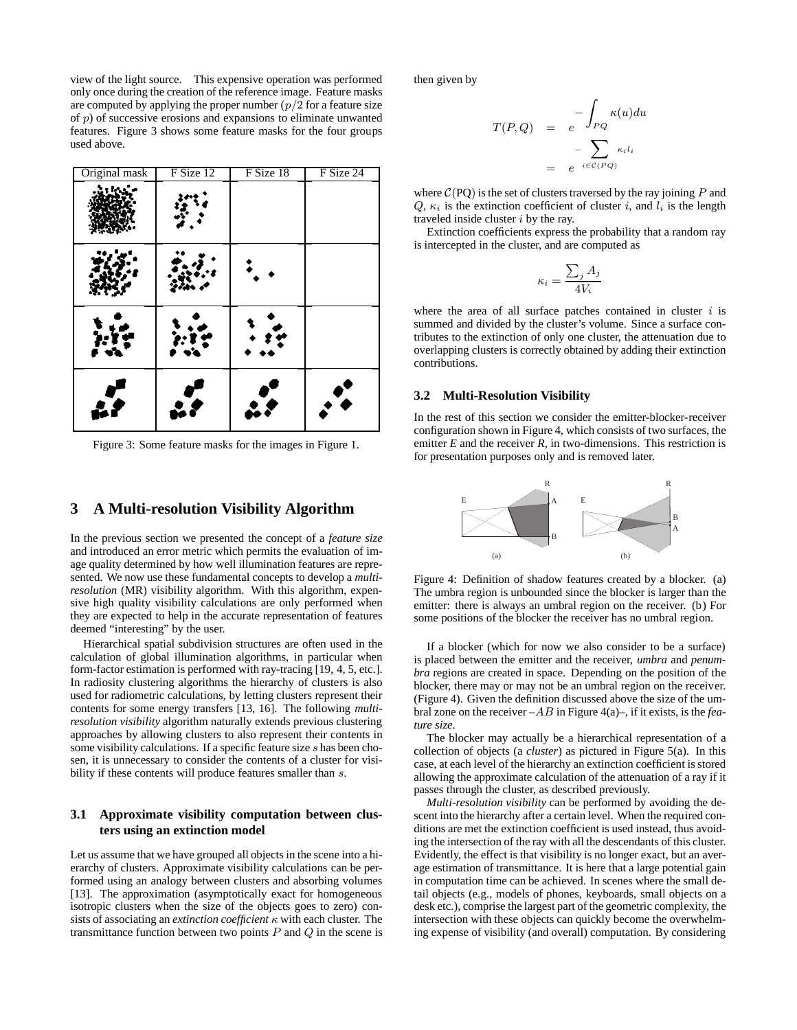view of the light source. This expensive operation was performed only once during the creation of the reference image. Feature masks are computed by applying the proper number  $\left(\frac{p}{2}\right)$  for a feature size of  $p$ ) of successive erosions and expansions to eliminate unwanted features. Figure 3 shows some feature masks for the four groups used above.

| Original mask | F Size 12 | F Size 18                                                   | F Size 24 | $=$ $e^{i\in C(PQ)}$                                                                                                                                                                                                                                                                                       |
|---------------|-----------|-------------------------------------------------------------|-----------|------------------------------------------------------------------------------------------------------------------------------------------------------------------------------------------------------------------------------------------------------------------------------------------------------------|
|               |           |                                                             |           | where $C(PQ)$ is the set of clusters traversed by the ray joining $P$ and<br>$Q$ , $\kappa_i$ is the extinction coefficient of cluster i, and $l_i$ is the length<br>traveled inside cluster $i$ by the ray.<br>Extinction coefficients express the probability that a random ray                          |
| 纂             |           |                                                             |           | is intercepted in the cluster, and are computed as<br>$\sum_j$<br>$\kappa_i = -$                                                                                                                                                                                                                           |
|               |           | $\rightarrow$ 2 $\rightarrow$<br>$\bullet$ $\bullet\bullet$ |           | where the area of all surface patches contained in cluster $i$ is<br>summed and divided by the cluster's volume. Since a surface con-<br>tributes to the extinction of only one cluster, the attenuation due to<br>overlapping clusters is correctly obtained by adding their extinction<br>contributions. |
|               |           | $\sim$                                                      |           | 3.2 Multi-Resolution Visibility<br>In the rest of this section we consider the emitter-blocker-receiver<br>configuration shown in Figure 4, which consists of two surfaces, the                                                                                                                            |

Figure 3: Some feature masks for the images in Figure 1.

## **3 A Multi-resolution Visibility Algorithm**

In the previous section we presented the concept of a *feature size* and introduced an error metric which permits the evaluation of image quality determined by how well illumination features are represented. We now use these fundamental concepts to develop a *multiresolution* (MR) visibility algorithm. With this algorithm, expensive high quality visibility calculations are only performed when they are expected to help in the accurate representation of features deemed "interesting" by the user.

Hierarchical spatial subdivision structures are often used in the calculation of global illumination algorithms, in particular when form-factor estimation is performed with ray-tracing [19, 4, 5, etc.]. In radiosity clustering algorithms the hierarchy of clusters is also used for radiometric calculations, by letting clusters represent their contents for some energy transfers [13, 16]. The following *multiresolution visibility* algorithm naturally extends previous clustering approaches by allowing clusters to also represent their contents in some visibility calculations. If a specific feature size s has been chosen, it is unnecessary to consider the contents of a cluster for visibility if these contents will produce features smaller than  $s$ .

### **3.1 Approximate visibility computation between clusters using an extinction model**

Let us assume that we have grouped all objects in the scene into a hierarchy of clusters. Approximate visibility calculations can be performed using an analogy between clusters and absorbing volumes [13]. The approximation (asymptotically exact for homogeneous isotropic clusters when the size of the objects goes to zero) consists of associating an *extinction coefficient* κ with each cluster. The transmittance function between two points  $P$  and  $Q$  in the scene is then given by

$$
T(P,Q) = e^{-\int_{PQ} \kappa(u)du}
$$
  

$$
= e^{-\sum_{i \in C(PQ)} \kappa_i l_i}
$$

$$
\kappa_i = \frac{\sum_j A_j}{4V_i}
$$

#### **3.2 Multi-Resolution Visibility**

In the rest of this section we consider the emitter-blocker-receiver configuration shown in Figure 4, which consists of two surfaces, the emitter  $E$  and the receiver  $R$ , in two-dimensions. This restriction is for presentation purposes only and is removed later.



Figure 4: Definition of shadow features created by a blocker. (a) The umbra region is unbounded since the blocker is larger than the emitter: there is always an umbral region on the receiver. (b) For some positions of the blocker the receiver has no umbral region.

If a blocker (which for now we also consider to be a surface) is placed between the emitter and the receiver, *umbra* and *penumbra* regions are created in space. Depending on the position of the blocker, there may or may not be an umbral region on the receiver. (Figure 4). Given the definition discussed above the size of the umbral zone on the receiver –AB in Figure 4(a)–, if it exists, is the *feature size*.

The blocker may actually be a hierarchical representation of a collection of objects (a *cluster*) as pictured in Figure 5(a). In this case, at each level of the hierarchy an extinction coefficient is stored allowing the approximate calculation of the attenuation of a ray if it passes through the cluster, as described previously.

*Multi-resolution visibility* can be performed by avoiding the descent into the hierarchy after a certain level. When the required conditions are met the extinction coefficient is used instead, thus avoiding the intersection of the ray with all the descendants of this cluster. Evidently, the effect is that visibility is no longer exact, but an average estimation of transmittance. It is here that a large potential gain in computation time can be achieved. In scenes where the small detail objects (e.g., models of phones, keyboards, small objects on a desk etc.), comprise the largest part of the geometric complexity, the intersection with these objects can quickly become the overwhelming expense of visibility (and overall) computation. By considering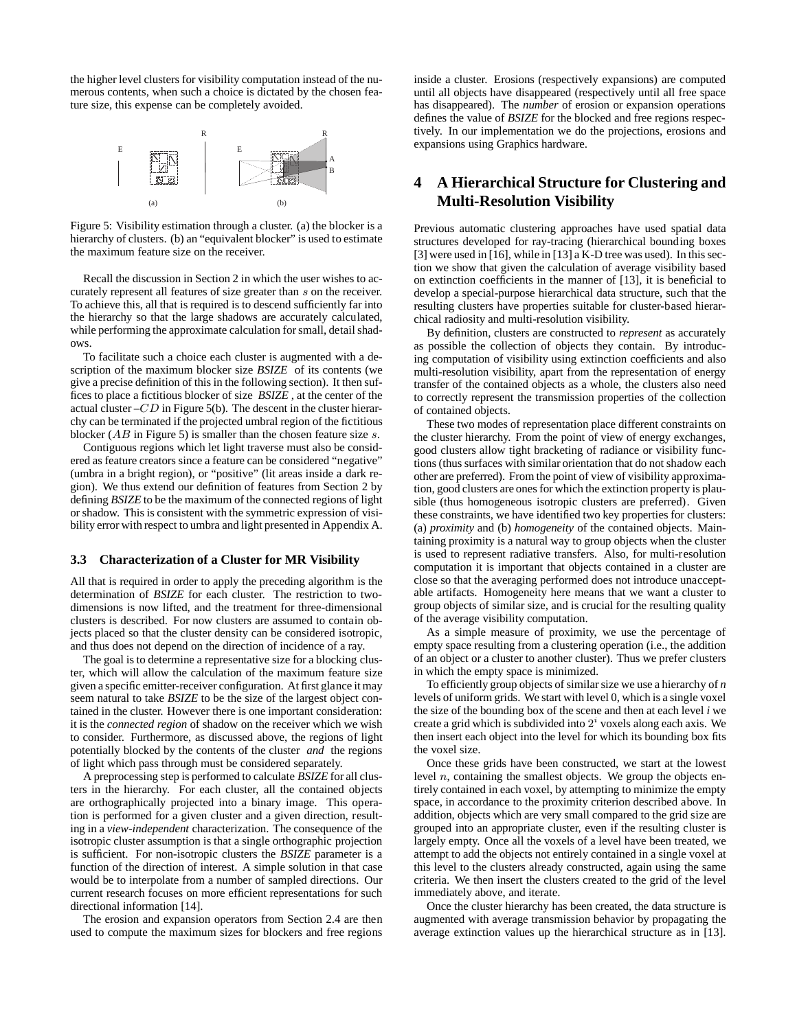the higher level clusters for visibility computation instead of the numerous contents, when such a choice is dictated by the chosen feature size, this expense can be completely avoided.



Figure 5: Visibility estimation through a cluster. (a) the blocker is a hierarchy of clusters. (b) an "equivalent blocker" is used to estimate the maximum feature size on the receiver.

Recall the discussion in Section 2 in which the user wishes to accurately represent all features of size greater than s on the receiver. To achieve this, all that is required is to descend sufficiently far into the hierarchy so that the large shadows are accurately calculated, while performing the approximate calculation for small, detail shadows.

To facilitate such a choice each cluster is augmented with a description of the maximum blocker size *BSIZE* of its contents (we give a precise definition of this in the following section). It then suffices to place a fictitious blocker of size *BSIZE* , at the center of the actual cluster  $-CD$  in Figure 5(b). The descent in the cluster hierarchy can be terminated if the projected umbral region of the fictitious blocker  $(AB \text{ in Figure 5})$  is smaller than the chosen feature size s.

Contiguous regions which let light traverse must also be considered as feature creators since a feature can be considered "negative" (umbra in a bright region), or "positive" (lit areas inside a dark region). We thus extend our definition of features from Section 2 by defining *BSIZE* to be the maximum of the connected regions of light or shadow. This is consistent with the symmetric expression of visibility error with respect to umbra and light presented in Appendix A.

#### **3.3 Characterization of a Cluster for MR Visibility**

All that is required in order to apply the preceding algorithm is the determination of *BSIZE* for each cluster. The restriction to twodimensions is now lifted, and the treatment for three-dimensional clusters is described. For now clusters are assumed to contain objects placed so that the cluster density can be considered isotropic, and thus does not depend on the direction of incidence of a ray.

The goal is to determine a representative size for a blocking cluster, which will allow the calculation of the maximum feature size given a specific emitter-receiver configuration. At first glance it may seem natural to take *BSIZE* to be the size of the largest object contained in the cluster. However there is one important consideration: it is the *connected region* of shadow on the receiver which we wish to consider. Furthermore, as discussed above, the regions of light potentially blocked by the contents of the cluster *and* the regions of light which pass through must be considered separately.

A preprocessing step is performed to calculate *BSIZE* for all clusters in the hierarchy. For each cluster, all the contained objects are orthographically projected into a binary image. This operation is performed for a given cluster and a given direction, resulting in a *view-independent* characterization. The consequence of the isotropic cluster assumption is that a single orthographic projection is sufficient. For non-isotropic clusters the *BSIZE* parameter is a function of the direction of interest. A simple solution in that case would be to interpolate from a number of sampled directions. Our current research focuses on more efficient representations for such directional information [14].

The erosion and expansion operators from Section 2.4 are then used to compute the maximum sizes for blockers and free regions inside a cluster. Erosions (respectively expansions) are computed until all objects have disappeared (respectively until all free space has disappeared). The *number* of erosion or expansion operations defines the value of *BSIZE* for the blocked and free regions respectively. In our implementation we do the projections, erosions and expansions using Graphics hardware.

## **4 A Hierarchical Structure for Clustering and Multi-Resolution Visibility**

Previous automatic clustering approaches have used spatial data structures developed for ray-tracing (hierarchical bounding boxes [3] were used in [16], while in [13] a K-D tree was used). In this section we show that given the calculation of average visibility based on extinction coefficients in the manner of [13], it is beneficial to develop a special-purpose hierarchical data structure, such that the resulting clusters have properties suitable for cluster-based hierarchical radiosity and multi-resolution visibility.

By definition, clusters are constructed to *represent* as accurately as possible the collection of objects they contain. By introducing computation of visibility using extinction coefficients and also multi-resolution visibility, apart from the representation of energy transfer of the contained objects as a whole, the clusters also need to correctly represent the transmission properties of the collection of contained objects.

These two modes of representation place different constraints on the cluster hierarchy. From the point of view of energy exchanges, good clusters allow tight bracketing of radiance or visibility functions (thus surfaces with similar orientation that do not shadow each other are preferred). From the point of view of visibility approximation, good clusters are ones for which the extinction property is plausible (thus homogeneous isotropic clusters are preferred). Given these constraints, we have identified two key properties for clusters: (a) *proximity* and (b) *homogeneity* of the contained objects. Maintaining proximity is a natural way to group objects when the cluster is used to represent radiative transfers. Also, for multi-resolution computation it is important that objects contained in a cluster are close so that the averaging performed does not introduce unacceptable artifacts. Homogeneity here means that we want a cluster to group objects of similar size, and is crucial for the resulting quality of the average visibility computation.

As a simple measure of proximity, we use the percentage of empty space resulting from a clustering operation (i.e., the addition of an object or a cluster to another cluster). Thus we prefer clusters in which the empty space is minimized.

To efficiently group objects of similar size we use a hierarchy of *n* levels of uniform grids. We start with level 0, which is a single voxel the size of the bounding box of the scene and then at each level *i* we create a grid which is subdivided into  $2<sup>i</sup>$  voxels along each axis. We then insert each object into the level for which its bounding box fits the voxel size.

Once these grids have been constructed, we start at the lowest level  $n$ , containing the smallest objects. We group the objects entirely contained in each voxel, by attempting to minimize the empty space, in accordance to the proximity criterion described above. In addition, objects which are very small compared to the grid size are grouped into an appropriate cluster, even if the resulting cluster is largely empty. Once all the voxels of a level have been treated, we attempt to add the objects not entirely contained in a single voxel at this level to the clusters already constructed, again using the same criteria. We then insert the clusters created to the grid of the level immediately above, and iterate.

Once the cluster hierarchy has been created, the data structure is augmented with average transmission behavior by propagating the average extinction values up the hierarchical structure as in [13].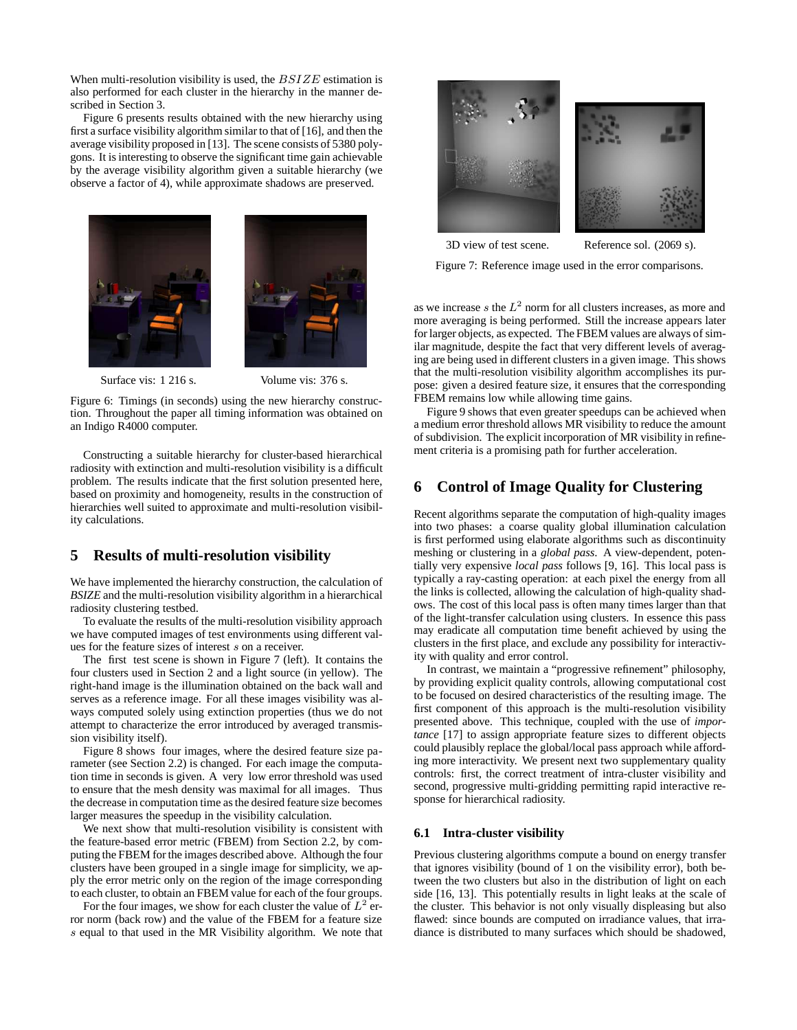When multi-resolution visibility is used, the  $BSIZE$  estimation is also performed for each cluster in the hierarchy in the manner described in Section 3.

Figure 6 presents results obtained with the new hierarchy using first a surface visibility algorithm similar to that of [16], and then the average visibility proposed in [13]. The scene consists of 5380 polygons. It is interesting to observe the significant time gain achievable by the average visibility algorithm given a suitable hierarchy (we observe a factor of 4), while approximate shadows are preserved.





Surface vis: 1 216 s.

Volume vis: 376 s.

Figure 6: Timings (in seconds) using the new hierarchy construction. Throughout the paper all timing information was obtained on an Indigo R4000 computer.

Constructing a suitable hierarchy for cluster-based hierarchical radiosity with extinction and multi-resolution visibility is a difficult problem. The results indicate that the first solution presented here, based on proximity and homogeneity, results in the construction of hierarchies well suited to approximate and multi-resolution visibility calculations.

### **5 Results of multi-resolution visibility**

We have implemented the hierarchy construction, the calculation of *BSIZE* and the multi-resolution visibility algorithm in a hierarchical radiosity clustering testbed.

To evaluate the results of the multi-resolution visibility approach we have computed images of test environments using different values for the feature sizes of interest s on a receiver.

The first test scene is shown in Figure 7 (left). It contains the four clusters used in Section 2 and a light source (in yellow). The right-hand image is the illumination obtained on the back wall and serves as a reference image. For all these images visibility was always computed solely using extinction properties (thus we do not attempt to characterize the error introduced by averaged transmission visibility itself).

Figure 8 shows four images, where the desired feature size parameter (see Section 2.2) is changed. For each image the computation time in seconds is given. A very low error threshold was used to ensure that the mesh density was maximal for all images. Thus the decrease in computation time as the desired feature size becomes larger measures the speedup in the visibility calculation.

We next show that multi-resolution visibility is consistent with the feature-based error metric (FBEM) from Section 2.2, by computing the FBEM for the images described above. Although the four clusters have been grouped in a single image for simplicity, we apply the error metric only on the region of the image corresponding to each cluster, to obtain an FBEM value for each of the four groups.

For the four images, we show for each cluster the value of  $L^2$  error norm (back row) and the value of the FBEM for a feature size s equal to that used in the MR Visibility algorithm. We note that



3D view of test scene. Reference sol. (2069 s).

Figure 7: Reference image used in the error comparisons.

as we increase s the  $L^2$  norm for all clusters increases, as more and more averaging is being performed. Still the increase appears later for larger objects, as expected. The FBEM values are always of similar magnitude, despite the fact that very different levels of averaging are being used in different clusters in a given image. This shows that the multi-resolution visibility algorithm accomplishes its purpose: given a desired feature size, it ensures that the corresponding FBEM remains low while allowing time gains.

Figure 9 shows that even greater speedups can be achieved when a medium error threshold allows MR visibility to reduce the amount of subdivision. The explicit incorporation of MR visibility in refinement criteria is a promising path for further acceleration.

## **6 Control of Image Quality for Clustering**

Recent algorithms separate the computation of high-quality images into two phases: a coarse quality global illumination calculation is first performed using elaborate algorithms such as discontinuity meshing or clustering in a *global pass*. A view-dependent, potentially very expensive *local pass* follows [9, 16]. This local pass is typically a ray-casting operation: at each pixel the energy from all the links is collected, allowing the calculation of high-quality shadows. The cost of this local pass is often many times larger than that of the light-transfer calculation using clusters. In essence this pass may eradicate all computation time benefit achieved by using the clusters in the first place, and exclude any possibility for interactivity with quality and error control.

In contrast, we maintain a "progressive refinement" philosophy, by providing explicit quality controls, allowing computational cost to be focused on desired characteristics of the resulting image. The first component of this approach is the multi-resolution visibility presented above. This technique, coupled with the use of *importance* [17] to assign appropriate feature sizes to different objects could plausibly replace the global/local pass approach while affording more interactivity. We present next two supplementary quality controls: first, the correct treatment of intra-cluster visibility and second, progressive multi-gridding permitting rapid interactive response for hierarchical radiosity.

#### **6.1 Intra-cluster visibility**

Previous clustering algorithms compute a bound on energy transfer that ignores visibility (bound of 1 on the visibility error), both between the two clusters but also in the distribution of light on each side [16, 13]. This potentially results in light leaks at the scale of the cluster. This behavior is not only visually displeasing but also flawed: since bounds are computed on irradiance values, that irradiance is distributed to many surfaces which should be shadowed,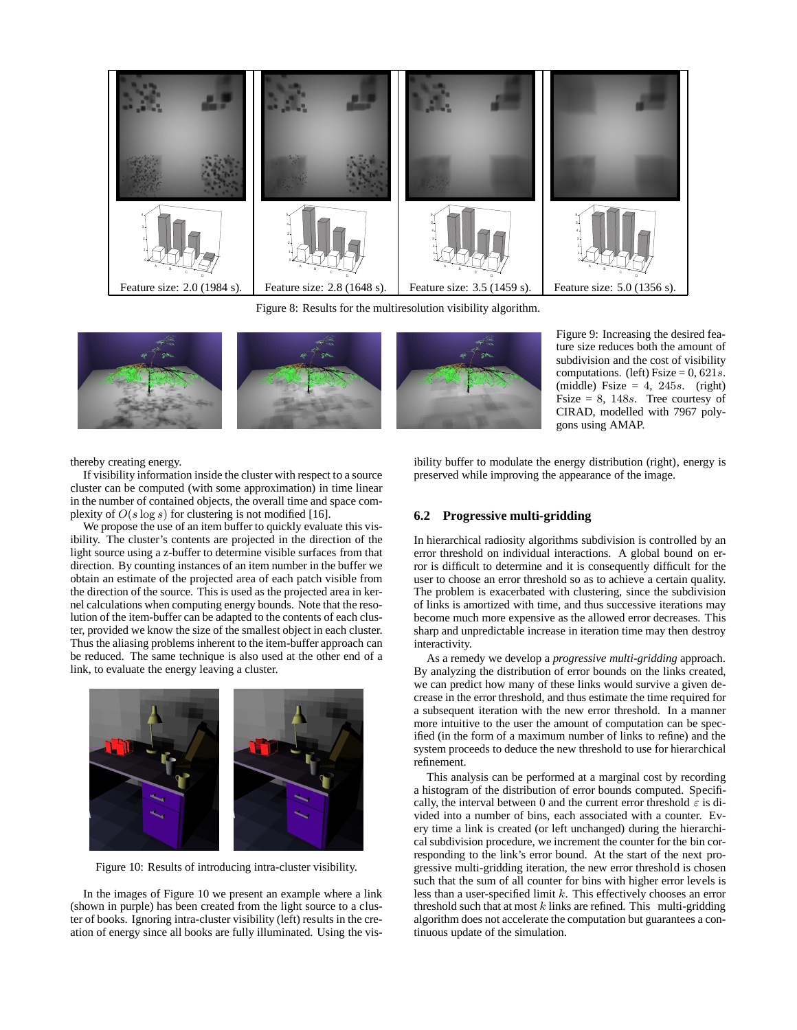

Figure 8: Results for the multiresolution visibility algorithm.



 Figure 9: Increasing the desired feature size reduces both the amount of subdivision and the cost of visibility computations. (left) Fsize =  $0, 621s$ . (middle) Fsize  $= 4$ , 245s. (right) Fsize = 8, 148s. Tree courtesy of CIRAD, modelled with 7967 polygons using AMAP.

thereby creating energy.

If visibility information inside the cluster with respect to a source cluster can be computed (with some approximation) in time linear in the number of contained objects, the overall time and space complexity of  $O(s \log s)$  for clustering is not modified [16].

We propose the use of an item buffer to quickly evaluate this visibility. The cluster's contents are projected in the direction of the light source using a z-buffer to determine visible surfaces from that direction. By counting instances of an item number in the buffer we obtain an estimate of the projected area of each patch visible from the direction of the source. This is used as the projected area in kernel calculations when computing energy bounds. Note that the resolution of the item-buffer can be adapted to the contents of each cluster, provided we know the size of the smallest object in each cluster. Thus the aliasing problems inherent to the item-buffer approach can be reduced. The same technique is also used at the other end of a link, to evaluate the energy leaving a cluster.



Figure 10: Results of introducing intra-cluster visibility.

In the images of Figure 10 we present an example where a link (shown in purple) has been created from the light source to a cluster of books. Ignoring intra-cluster visibility (left) results in the creation of energy since all books are fully illuminated. Using the visibility buffer to modulate the energy distribution (right), energy is preserved while improving the appearance of the image.

#### **6.2 Progressive multi-gridding**

In hierarchical radiosity algorithms subdivision is controlled by an error threshold on individual interactions. A global bound on error is difficult to determine and it is consequently difficult for the user to choose an error threshold so as to achieve a certain quality. The problem is exacerbated with clustering, since the subdivision of links is amortized with time, and thus successive iterations may become much more expensive as the allowed error decreases. This sharp and unpredictable increase in iteration time may then destroy interactivity.

we can predict how many of these links would survive a given  $d\rho$ . As a remedy we develop a *progressive multi-gridding* approach. By analyzing the distribution of error bounds on the links created, we can predict how many of these links would survive a given decrease in the error threshold, and thus estimate the time required for a subsequent iteration with the new error threshold. In a manner more intuitive to the user the amount of computation can be specified (in the form of a maximum number of links to refine) and the system proceeds to deduce the new threshold to use for hierarchical refinement.

> This analysis can be performed at a marginal cost by recording a histogram of the distribution of error bounds computed. Specifically, the interval between 0 and the current error threshold  $\varepsilon$  is divided into a number of bins, each associated with a counter. Every time a link is created (or left unchanged) during the hierarchical subdivision procedure, we increment the counter for the bin corresponding to the link's error bound. At the start of the next progressive multi-gridding iteration, the new error threshold is chosen such that the sum of all counter for bins with higher error levels is less than a user-specified limit k. This effectively chooses an error threshold such that at most  $k$  links are refined. This multi-gridding algorithm does not accelerate the computation but guarantees a continuous update of the simulation.